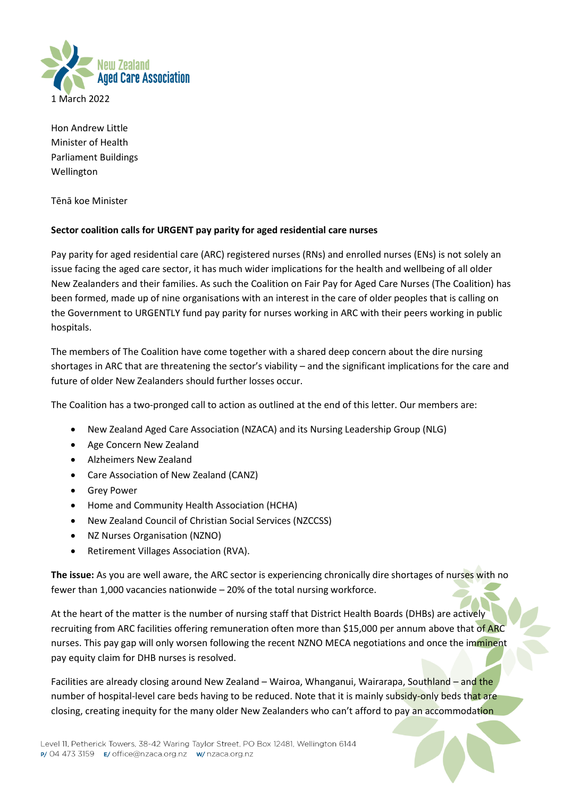

Hon Andrew Little Minister of Health Parliament Buildings Wellington

Tēnā koe Minister

## **Sector coalition calls for URGENT pay parity for aged residential care nurses**

Pay parity for aged residential care (ARC) registered nurses (RNs) and enrolled nurses (ENs) is not solely an issue facing the aged care sector, it has much wider implications for the health and wellbeing of all older New Zealanders and their families. As such the Coalition on Fair Pay for Aged Care Nurses (The Coalition) has been formed, made up of nine organisations with an interest in the care of older peoples that is calling on the Government to URGENTLY fund pay parity for nurses working in ARC with their peers working in public hospitals.

The members of The Coalition have come together with a shared deep concern about the dire nursing shortages in ARC that are threatening the sector's viability – and the significant implications for the care and future of older New Zealanders should further losses occur.

The Coalition has a two-pronged call to action as outlined at the end of this letter. Our members are:

- New Zealand Aged Care Association (NZACA) and its Nursing Leadership Group (NLG)
- Age Concern New Zealand
- Alzheimers New Zealand
- Care Association of New Zealand (CANZ)
- Grey Power
- Home and Community Health Association (HCHA)
- New Zealand Council of Christian Social Services (NZCCSS)
- NZ Nurses Organisation (NZNO)
- Retirement Villages Association (RVA).

**The issue:** As you are well aware, the ARC sector is experiencing chronically dire shortages of nurses with no fewer than 1,000 vacancies nationwide – 20% of the total nursing workforce.

At the heart of the matter is the number of nursing staff that District Health Boards (DHBs) are actively recruiting from ARC facilities offering remuneration often more than \$15,000 per annum above that of ARC nurses. This pay gap will only worsen following the recent NZNO MECA negotiations and once the imminent pay equity claim for DHB nurses is resolved.

Facilities are already closing around New Zealand – Wairoa, Whanganui, Wairarapa, Southland – and the number of hospital-level care beds having to be reduced. Note that it is mainly subsidy-only beds that are closing, creating inequity for the many older New Zealanders who can't afford to pay an accommodation